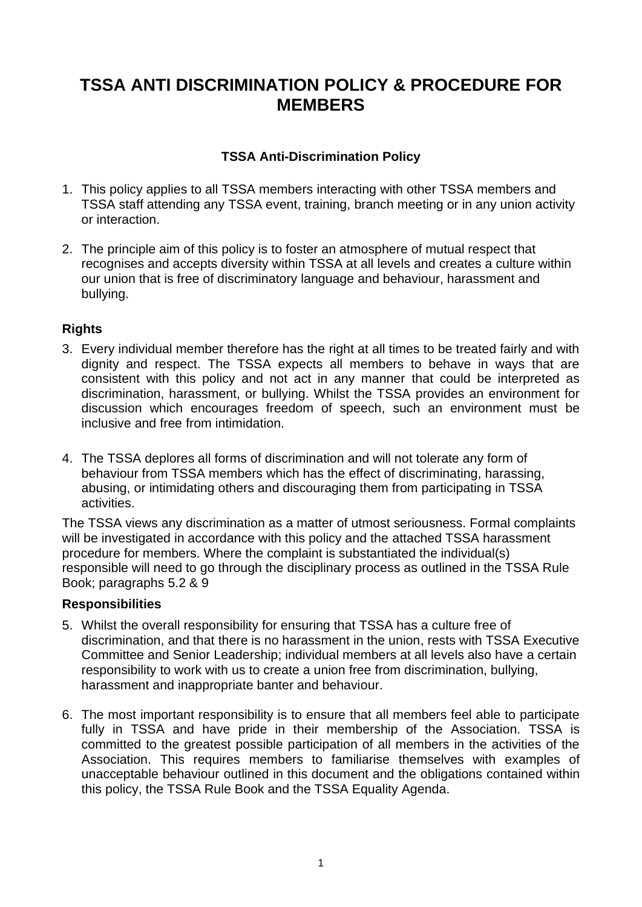# **TSSA ANTI DISCRIMINATION POLICY & PROCEDURE FOR MEMBERS**

# **TSSA Anti-Discrimination Policy**

- 1. This policy applies to all TSSA members interacting with other TSSA members and TSSA staff attending any TSSA event, training, branch meeting or in any union activity or interaction.
- 2. The principle aim of this policy is to foster an atmosphere of mutual respect that recognises and accepts diversity within TSSA at all levels and creates a culture within our union that is free of discriminatory language and behaviour, harassment and bullying.

## **Rights**

- 3. Every individual member therefore has the right at all times to be treated fairly and with dignity and respect. The TSSA expects all members to behave in ways that are consistent with this policy and not act in any manner that could be interpreted as discrimination, harassment, or bullying. Whilst the TSSA provides an environment for discussion which encourages freedom of speech, such an environment must be inclusive and free from intimidation.
- 4. The TSSA deplores all forms of discrimination and will not tolerate any form of behaviour from TSSA members which has the effect of discriminating, harassing, abusing, or intimidating others and discouraging them from participating in TSSA activities.

The TSSA views any discrimination as a matter of utmost seriousness. Formal complaints will be investigated in accordance with this policy and the attached TSSA harassment procedure for members. Where the complaint is substantiated the individual(s) responsible will need to go through the disciplinary process as outlined in the TSSA Rule Book; paragraphs 5.2 & 9

## **Responsibilities**

- 5. Whilst the overall responsibility for ensuring that TSSA has a culture free of discrimination, and that there is no harassment in the union, rests with TSSA Executive Committee and Senior Leadership; individual members at all levels also have a certain responsibility to work with us to create a union free from discrimination, bullying, harassment and inappropriate banter and behaviour.
- 6. The most important responsibility is to ensure that all members feel able to participate fully in TSSA and have pride in their membership of the Association. TSSA is committed to the greatest possible participation of all members in the activities of the Association. This requires members to familiarise themselves with examples of unacceptable behaviour outlined in this document and the obligations contained within this policy, the TSSA Rule Book and the TSSA Equality Agenda.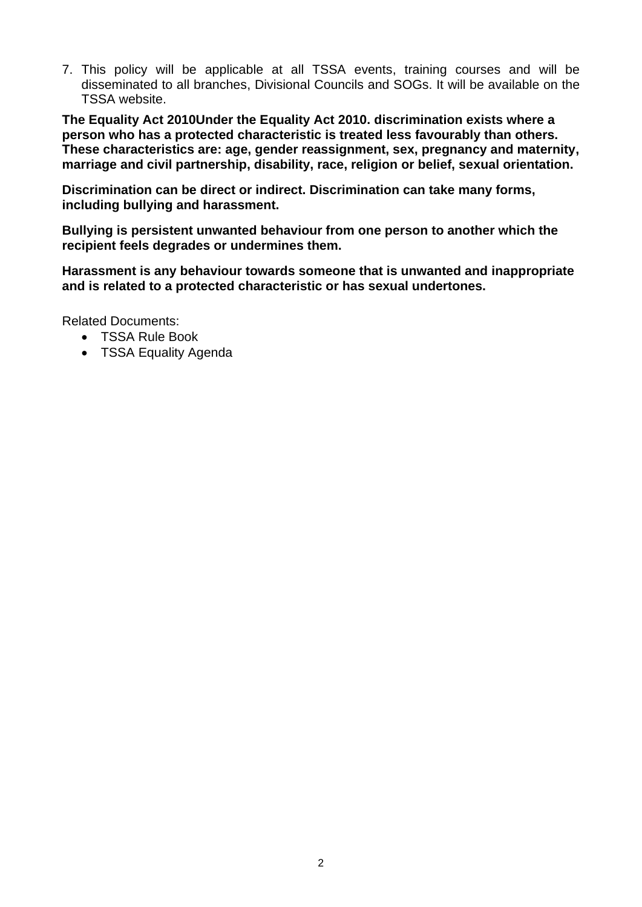7. This policy will be applicable at all TSSA events, training courses and will be disseminated to all branches, Divisional Councils and SOGs. It will be available on the TSSA website.

**The Equality Act 2010Under the Equality Act 2010. discrimination exists where a person who has a protected characteristic is treated less favourably than others. These characteristics are: age, gender reassignment, sex, pregnancy and maternity, marriage and civil partnership, disability, race, religion or belief, sexual orientation.**

**Discrimination can be direct or indirect. Discrimination can take many forms, including bullying and harassment.** 

**Bullying is persistent unwanted behaviour from one person to another which the recipient feels degrades or undermines them.** 

**Harassment is any behaviour towards someone that is unwanted and inappropriate and is related to a protected characteristic or has sexual undertones.** 

Related Documents:

- TSSA Rule Book
- TSSA Equality Agenda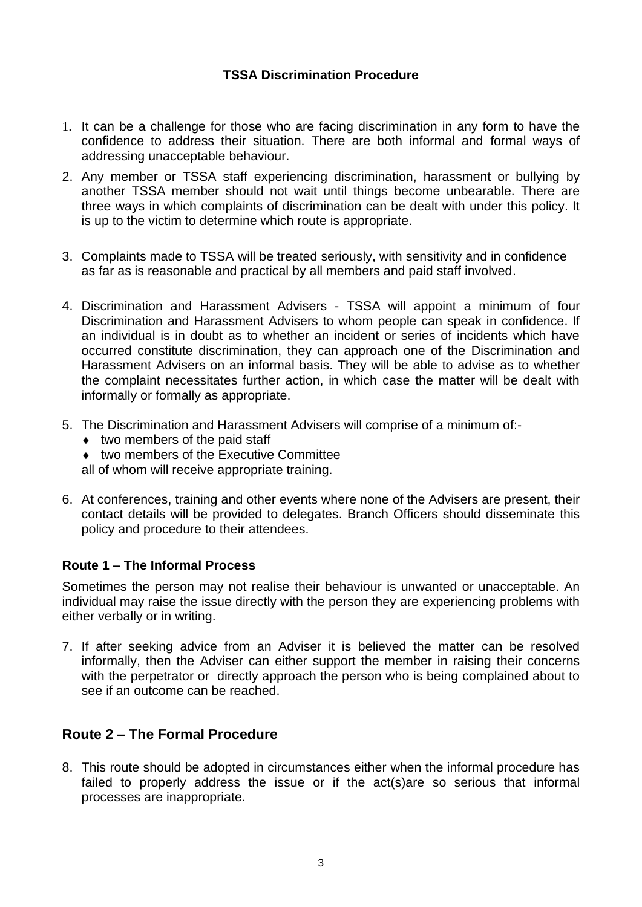# **TSSA Discrimination Procedure**

- 1. It can be a challenge for those who are facing discrimination in any form to have the confidence to address their situation. There are both informal and formal ways of addressing unacceptable behaviour.
- 2. Any member or TSSA staff experiencing discrimination, harassment or bullying by another TSSA member should not wait until things become unbearable. There are three ways in which complaints of discrimination can be dealt with under this policy. It is up to the victim to determine which route is appropriate.
- 3. Complaints made to TSSA will be treated seriously, with sensitivity and in confidence as far as is reasonable and practical by all members and paid staff involved.
- 4. Discrimination and Harassment Advisers TSSA will appoint a minimum of four Discrimination and Harassment Advisers to whom people can speak in confidence. If an individual is in doubt as to whether an incident or series of incidents which have occurred constitute discrimination, they can approach one of the Discrimination and Harassment Advisers on an informal basis. They will be able to advise as to whether the complaint necessitates further action, in which case the matter will be dealt with informally or formally as appropriate.
- 5. The Discrimination and Harassment Advisers will comprise of a minimum of:-
	- $\bullet$  two members of the paid staff
	- ◆ two members of the Executive Committee
	- all of whom will receive appropriate training.
- 6. At conferences, training and other events where none of the Advisers are present, their contact details will be provided to delegates. Branch Officers should disseminate this policy and procedure to their attendees.

## **Route 1 – The Informal Process**

Sometimes the person may not realise their behaviour is unwanted or unacceptable. An individual may raise the issue directly with the person they are experiencing problems with either verbally or in writing.

7. If after seeking advice from an Adviser it is believed the matter can be resolved informally, then the Adviser can either support the member in raising their concerns with the perpetrator or directly approach the person who is being complained about to see if an outcome can be reached.

# **Route 2 – The Formal Procedure**

8. This route should be adopted in circumstances either when the informal procedure has failed to properly address the issue or if the act(s)are so serious that informal processes are inappropriate.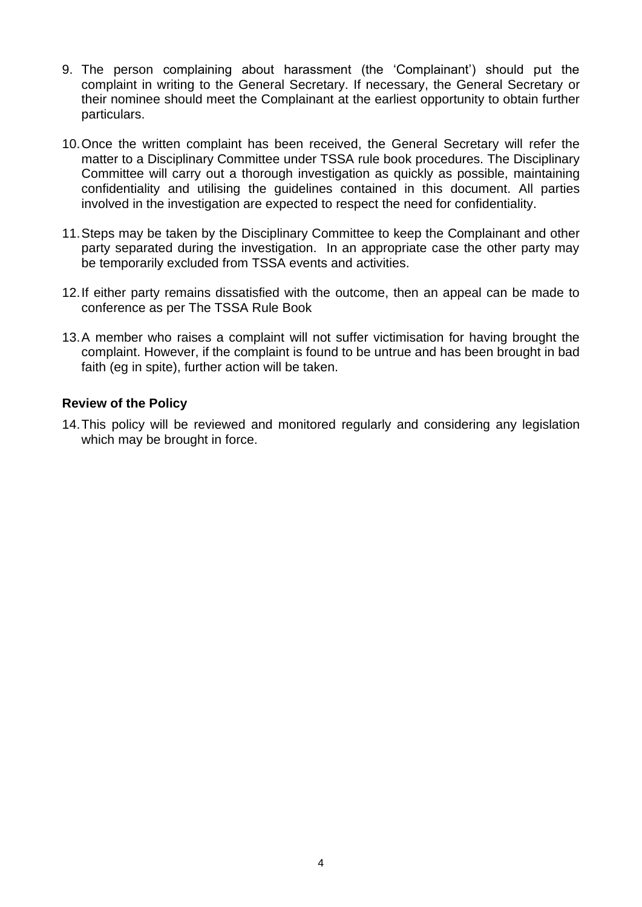- 9. The person complaining about harassment (the 'Complainant') should put the complaint in writing to the General Secretary. If necessary, the General Secretary or their nominee should meet the Complainant at the earliest opportunity to obtain further particulars.
- 10.Once the written complaint has been received, the General Secretary will refer the matter to a Disciplinary Committee under TSSA rule book procedures. The Disciplinary Committee will carry out a thorough investigation as quickly as possible, maintaining confidentiality and utilising the guidelines contained in this document. All parties involved in the investigation are expected to respect the need for confidentiality.
- 11.Steps may be taken by the Disciplinary Committee to keep the Complainant and other party separated during the investigation. In an appropriate case the other party may be temporarily excluded from TSSA events and activities.
- 12.If either party remains dissatisfied with the outcome, then an appeal can be made to conference as per The TSSA Rule Book
- 13.A member who raises a complaint will not suffer victimisation for having brought the complaint. However, if the complaint is found to be untrue and has been brought in bad faith (eg in spite), further action will be taken.

## **Review of the Policy**

14.This policy will be reviewed and monitored regularly and considering any legislation which may be brought in force.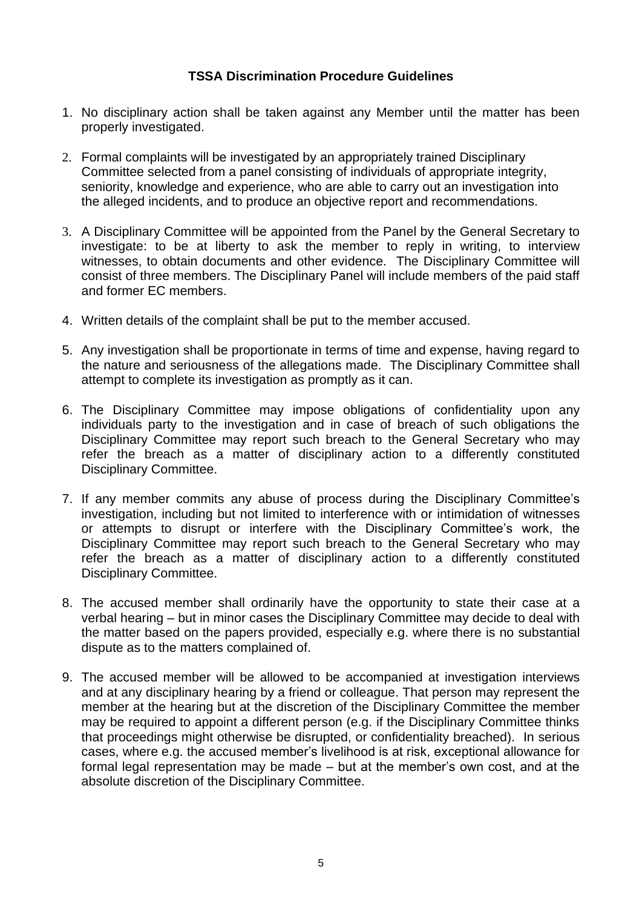# **TSSA Discrimination Procedure Guidelines**

- 1. No disciplinary action shall be taken against any Member until the matter has been properly investigated.
- 2. Formal complaints will be investigated by an appropriately trained Disciplinary Committee selected from a panel consisting of individuals of appropriate integrity, seniority, knowledge and experience, who are able to carry out an investigation into the alleged incidents, and to produce an objective report and recommendations.
- 3. A Disciplinary Committee will be appointed from the Panel by the General Secretary to investigate: to be at liberty to ask the member to reply in writing, to interview witnesses, to obtain documents and other evidence. The Disciplinary Committee will consist of three members. The Disciplinary Panel will include members of the paid staff and former EC members.
- 4. Written details of the complaint shall be put to the member accused.
- 5. Any investigation shall be proportionate in terms of time and expense, having regard to the nature and seriousness of the allegations made. The Disciplinary Committee shall attempt to complete its investigation as promptly as it can.
- 6. The Disciplinary Committee may impose obligations of confidentiality upon any individuals party to the investigation and in case of breach of such obligations the Disciplinary Committee may report such breach to the General Secretary who may refer the breach as a matter of disciplinary action to a differently constituted Disciplinary Committee.
- 7. If any member commits any abuse of process during the Disciplinary Committee's investigation, including but not limited to interference with or intimidation of witnesses or attempts to disrupt or interfere with the Disciplinary Committee's work, the Disciplinary Committee may report such breach to the General Secretary who may refer the breach as a matter of disciplinary action to a differently constituted Disciplinary Committee.
- 8. The accused member shall ordinarily have the opportunity to state their case at a verbal hearing – but in minor cases the Disciplinary Committee may decide to deal with the matter based on the papers provided, especially e.g. where there is no substantial dispute as to the matters complained of.
- 9. The accused member will be allowed to be accompanied at investigation interviews and at any disciplinary hearing by a friend or colleague. That person may represent the member at the hearing but at the discretion of the Disciplinary Committee the member may be required to appoint a different person (e.g. if the Disciplinary Committee thinks that proceedings might otherwise be disrupted, or confidentiality breached). In serious cases, where e.g. the accused member's livelihood is at risk, exceptional allowance for formal legal representation may be made – but at the member's own cost, and at the absolute discretion of the Disciplinary Committee.